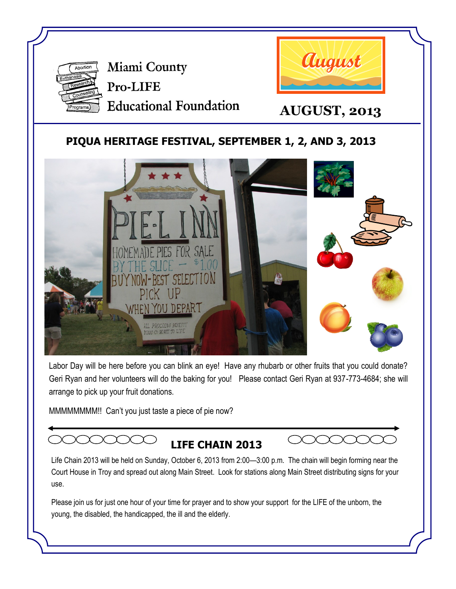

Miami County Pro-LIFE **Educational Foundation** 



**AUGUST, 2013**

## **PIQUA HERITAGE FESTIVAL, SEPTEMBER 1, 2, AND 3, 2013**



Labor Day will be here before you can blink an eye! Have any rhubarb or other fruits that you could donate? Geri Ryan and her volunteers will do the baking for you! Please contact Geri Ryan at 937-773-4684; she will arrange to pick up your fruit donations.

MMMMMMMM!! Can't you just taste a piece of pie now?

# **LIFE CHAIN 2013**



Life Chain 2013 will be held on Sunday, October 6, 2013 from 2:00—3:00 p.m. The chain will begin forming near the Court House in Troy and spread out along Main Street. Look for stations along Main Street distributing signs for your use.

Please join us for just one hour of your time for prayer and to show your support for the LIFE of the unborn, the young, the disabled, the handicapped, the ill and the elderly.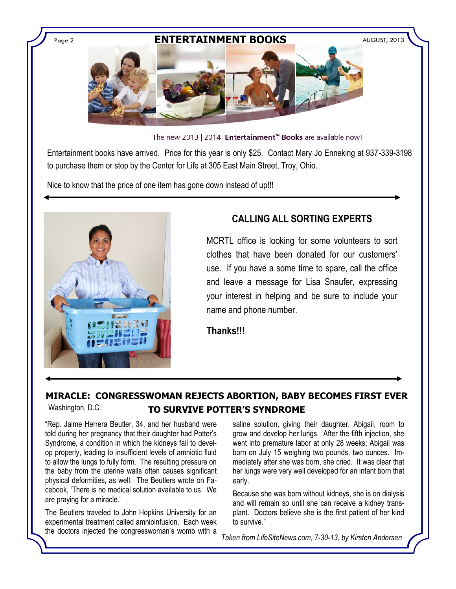### Page 2 **ENTERTAINMENT BOOKS** AUGUST, 2013



The new 2013 | 2014 Entertainment™ Books are available now!

Entertainment books have arrived. Price for this year is only \$25. Contact Mary Jo Enneking at 937-339-3198 to purchase them or stop by the Center for Life at 305 East Main Street, Troy, Ohio.

Nice to know that the price of one item has gone down instead of up!!!



## **CALLING ALL SORTING EXPERTS**

MCRTL office is looking for some volunteers to sort clothes that have been donated for our customers' use. If you have a some time to spare, call the office and leave a message for Lisa Snaufer, expressing your interest in helping and be sure to include your name and phone number.

**Thanks!!!**

#### **MIRACLE: CONGRESSWOMAN REJECTS ABORTION, BABY BECOMES FIRST EVER TO SURVIVE POTTER'S SYNDROME** Washington, D.C.

"Rep. Jaime Herrera Beutler, 34, and her husband were told during her pregnancy that their daughter had Potter's Syndrome, a condition in which the kidneys fail to develop properly, leading to insufficient levels of amniotic fluid to allow the lungs to fully form. The resulting pressure on the baby from the uterine walls often causes significant physical deformities, as well. The Beutlers wrote on Facebook, 'There is no medical solution available to us. We are praying for a miracle.'

The Beutlers traveled to John Hopkins University for an experimental treatment called amnioinfusion. Each week the doctors injected the congresswoman's womb with a

saline solution, giving their daughter, Abigail, room to grow and develop her lungs. After the fifth injection, she went into premature labor at only 28 weeks; Abigail was born on July 15 weighing two pounds, two ounces. Immediately after she was born, she cried. It was clear that her lungs were very well developed for an infant born that early.

Because she was born without kidneys, she is on dialysis and will remain so until she can receive a kidney transplant. Doctors believe she is the first patient of her kind to survive."

*Taken from LifeSiteNews.com, 7-30-13, by Kirsten Andersen*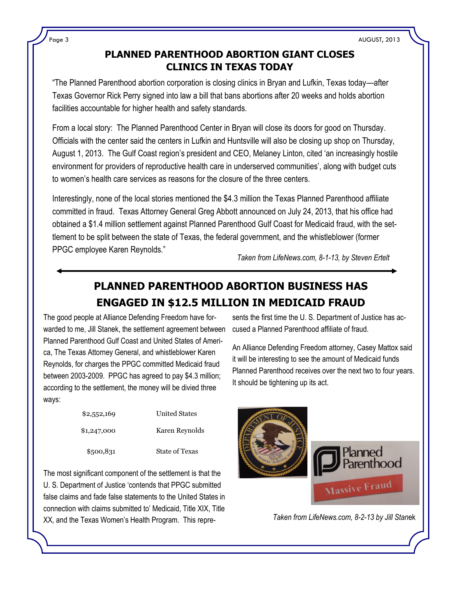### **PLANNED PARENTHOOD ABORTION GIANT CLOSES CLINICS IN TEXAS TODAY**

"The Planned Parenthood abortion corporation is closing clinics in Bryan and Lufkin, Texas today—after Texas Governor Rick Perry signed into law a bill that bans abortions after 20 weeks and holds abortion facilities accountable for higher health and safety standards.

From a local story: The Planned Parenthood Center in Bryan will close its doors for good on Thursday. Officials with the center said the centers in Lufkin and Huntsville will also be closing up shop on Thursday, August 1, 2013. The Gulf Coast region's president and CEO, Melaney Linton, cited 'an increasingly hostile environment for providers of reproductive health care in underserved communities', along with budget cuts to women's health care services as reasons for the closure of the three centers.

Interestingly, none of the local stories mentioned the \$4.3 million the Texas Planned Parenthood affiliate committed in fraud. Texas Attorney General Greg Abbott announced on July 24, 2013, that his office had obtained a \$1.4 million settlement against Planned Parenthood Gulf Coast for Medicaid fraud, with the settlement to be split between the state of Texas, the federal government, and the whistleblower (former PPGC employee Karen Reynolds."

*Taken from LifeNews.com, 8-1-13, by Steven Ertelt*

## **PLANNED PARENTHOOD ABORTION BUSINESS HAS ENGAGED IN \$12.5 MILLION IN MEDICAID FRAUD**

The good people at Alliance Defending Freedom have forwarded to me, Jill Stanek, the settlement agreement between Planned Parenthood Gulf Coast and United States of America, The Texas Attorney General, and whistleblower Karen Reynolds, for charges the PPGC committed Medicaid fraud between 2003-2009. PPGC has agreed to pay \$4.3 million; according to the settlement, the money will be divied three ways:

| \$2,552,169 | <b>United States</b>  |
|-------------|-----------------------|
| \$1,247,000 | Karen Reynolds        |
| \$500,831   | <b>State of Texas</b> |

The most significant component of the settlement is that the U. S. Department of Justice 'contends that PPGC submitted false claims and fade false statements to the United States in connection with claims submitted to' Medicaid, Title XIX, Title XX, and the Texas Women's Health Program. This repre-

sents the first time the U. S. Department of Justice has accused a Planned Parenthood affiliate of fraud.

An Alliance Defending Freedom attorney, Casey Mattox said it will be interesting to see the amount of Medicaid funds Planned Parenthood receives over the next two to four years. It should be tightening up its act.



*Taken from LifeNews.com, 8-2-13 by Jill Stan*ek